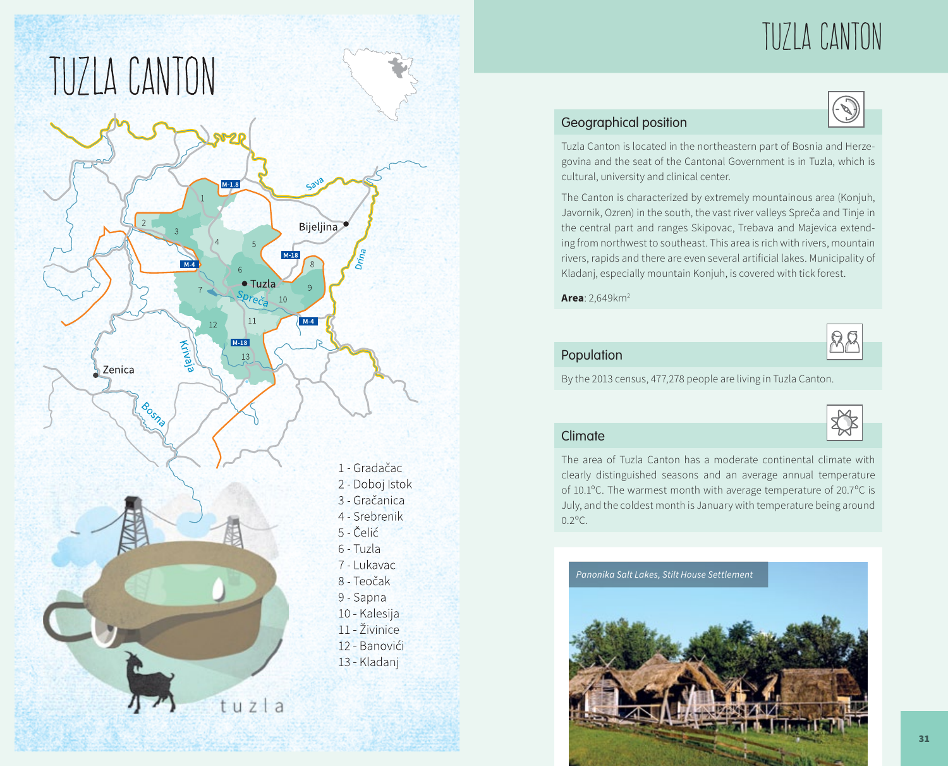

# Tuzla Canton

# Geographical position

Tuzla Canton is located in the northeastern part of Bosnia and Herzegovina and the seat of the Cantonal Government is in Tuzla, which is cultural, university and clinical center.

The Canton is characterized by extremely mountainous area (Konjuh, Javornik, Ozren) in the south, the vast river valleys Spreča and Tinje in the central part and ranges Skipovac, Trebava and Majevica extending from northwest to southeast. This area is rich with rivers, mountain rivers, rapids and there are even several artificial lakes. Municipality of Kladanj, especially mountain Konjuh, is covered with tick forest.

**Area**: 2,649km2

Population



By the 2013 census, 477,278 people are living in Tuzla Canton.



# Climate

The area of Tuzla Canton has a moderate continental climate with clearly distinguished seasons and an average annual temperature of 10.1ºC. The warmest month with average temperature of 20.7ºC is July, and the coldest month is January with temperature being around  $0.2^{\circ}$ C

*Panonika Salt Lakes, Stilt House Settlement*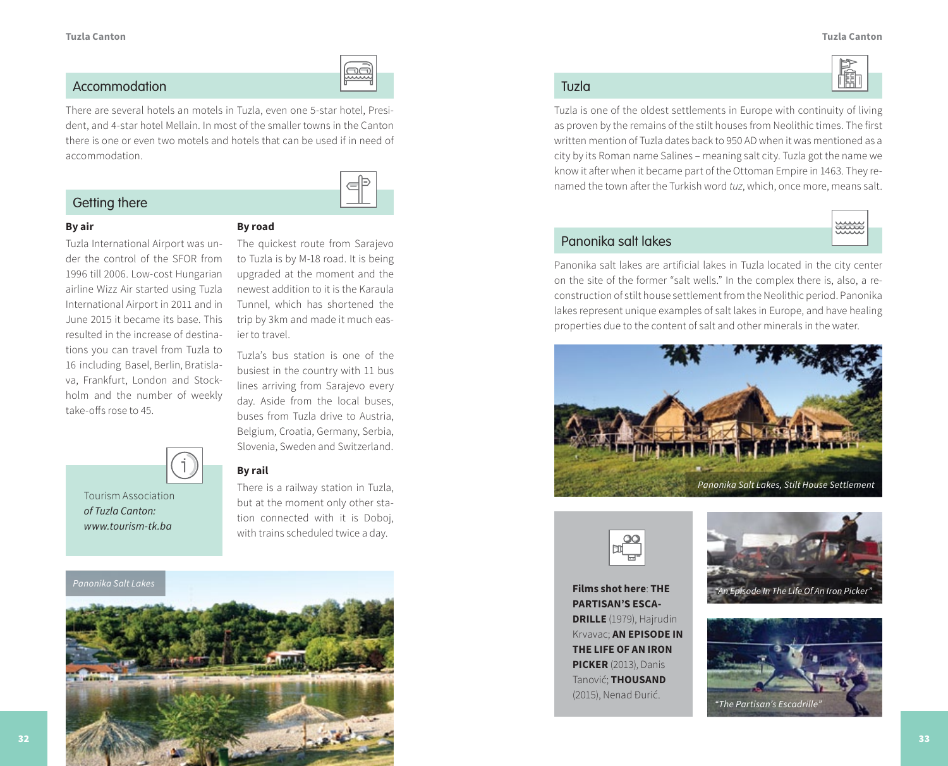鬝

## Accommodation Tuzla

There are several hotels an motels in Tuzla, even one 5-star hotel, President, and 4-star hotel Mellain. In most of the smaller towns in the Canton there is one or even two motels and hotels that can be used if in need of accommodation.

# Getting there



### **By air**

Tuzla International Airport was under the control of the SFOR from 1996 till 2006. Low-cost Hungarian airline Wizz Air started using Tuzla International Airport in 2011 and in June 2015 it became its base. This resulted in the increase of destinations you can travel from Tuzla to 16 including Basel, Berlin, Bratislava, Frankfurt, London and Stockholm and the number of weekly take-offs rose to 45.



The quickest route from Sarajevo to Tuzla is by M-18 road. It is being upgraded at the moment and the newest addition to it is the Karaula Tunnel, which has shortened the trip by 3km and made it much easier to travel.

Tuzla's bus station is one of the busiest in the country with 11 bus lines arriving from Sarajevo every day. Aside from the local buses, buses from Tuzla drive to Austria, Belgium, Croatia, Germany, Serbia, Slovenia, Sweden and Switzerland.



Tourism Association *of Tuzla Canton: www.tourism-tk.ba*

# **By rail**

There is a railway station in Tuzla, but at the moment only other station connected with it is Doboj, with trains scheduled twice a day.



Tuzla is one of the oldest settlements in Europe with continuity of living as proven by the remains of the stilt houses from Neolithic times. The first written mention of Tuzla dates back to 950 AD when it was mentioned as a city by its Roman name Salines – meaning salt city. Tuzla got the name we know it after when it became part of the Ottoman Empire in 1463. They renamed the town after the Turkish word *tuz*, which, once more, means salt.



# Panonika salt lakes

Panonika salt lakes are artificial lakes in Tuzla located in the city center on the site of the former "salt wells." In the complex there is, also, a reconstruction of stilt house settlement from the Neolithic period. Panonika lakes represent unique examples of salt lakes in Europe, and have healing properties due to the content of salt and other minerals in the water.





**Films shot here**: **THE PARTISAN'S ESCA-DRILLE** (1979), Hajrudin Krvavac; **AN EPISODE IN THE LIFE OF AN IRON PICKER** (2013), Danis Tanović; **THOUSAND**  (2015), Nenad Đurić.